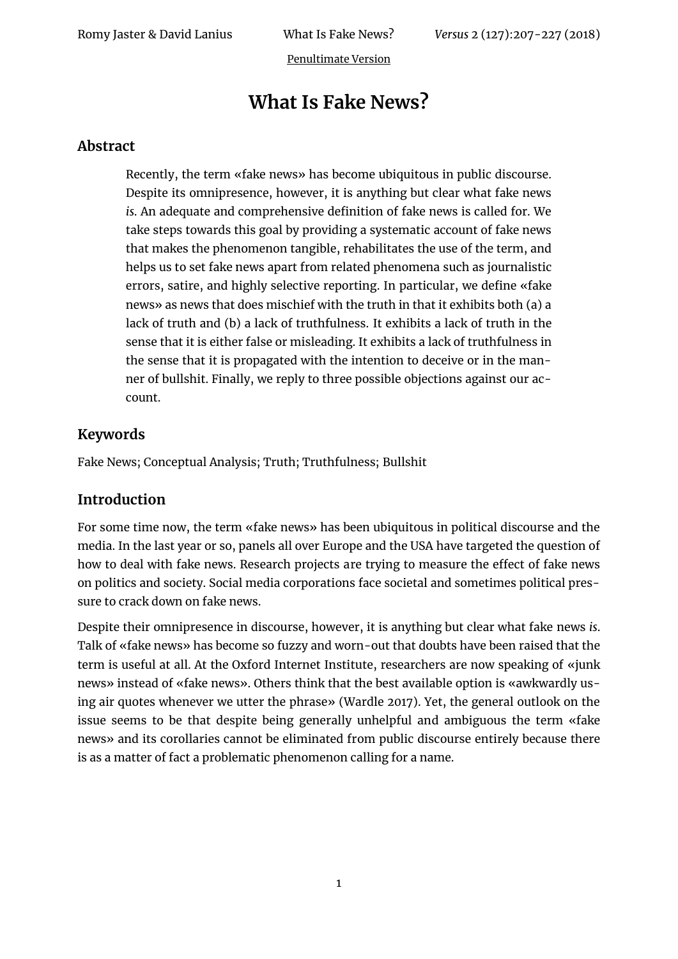# **What Is Fake News?**

## **Abstract**

Recently, the term «fake news» has become ubiquitous in public discourse. Despite its omnipresence, however, it is anything but clear what fake news *is*. An adequate and comprehensive definition of fake news is called for. We take steps towards this goal by providing a systematic account of fake news that makes the phenomenon tangible, rehabilitates the use of the term, and helps us to set fake news apart from related phenomena such as journalistic errors, satire, and highly selective reporting. In particular, we define «fake news» as news that does mischief with the truth in that it exhibits both (a) a lack of truth and (b) a lack of truthfulness. It exhibits a lack of truth in the sense that it is either false or misleading. It exhibits a lack of truthfulness in the sense that it is propagated with the intention to deceive or in the manner of bullshit. Finally, we reply to three possible objections against our account.

## **Keywords**

Fake News; Conceptual Analysis; Truth; Truthfulness; Bullshit

## **Introduction**

For some time now, the term «fake news» has been ubiquitous in political discourse and the media. In the last year or so, panels all over Europe and the USA have targeted the question of how to deal with fake news. Research projects are trying to measure the effect of fake news on politics and society. Social media corporations face societal and sometimes political pressure to crack down on fake news.

Despite their omnipresence in discourse, however, it is anything but clear what fake news *is*. Talk of «fake news» has become so fuzzy and worn-out that doubts have been raised that the term is useful at all. At the Oxford Internet Institute, researchers are now speaking of «junk news» instead of «fake news». Others think that the best available option is «awkwardly using air quotes whenever we utter the phrase» (Wardle 2017). Yet, the general outlook on the issue seems to be that despite being generally unhelpful and ambiguous the term «fake news» and its corollaries cannot be eliminated from public discourse entirely because there is as a matter of fact a problematic phenomenon calling for a name.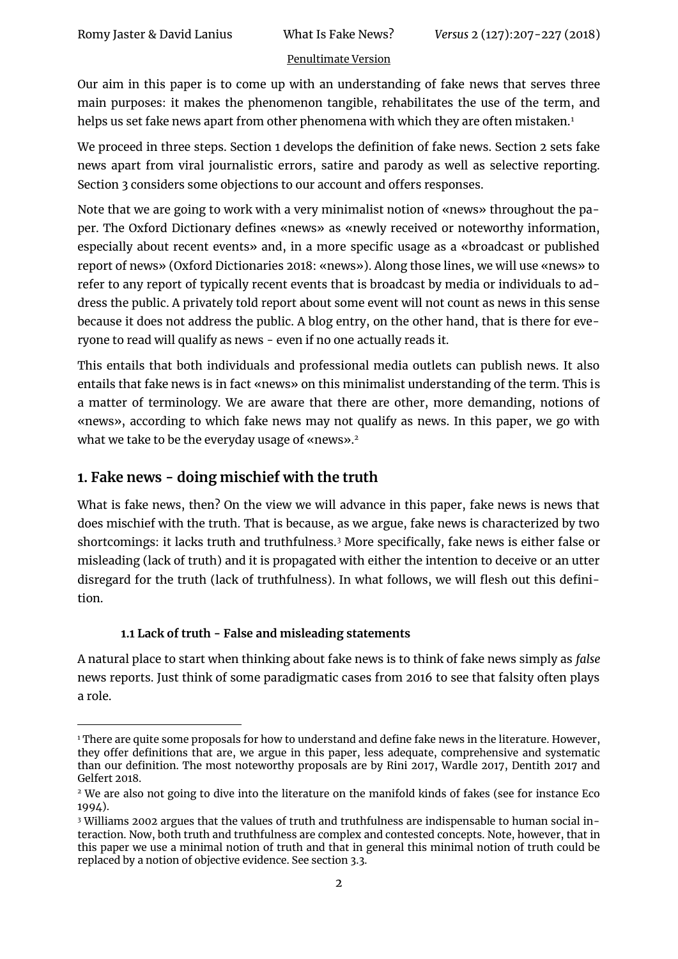Our aim in this paper is to come up with an understanding of fake news that serves three main purposes: it makes the phenomenon tangible, rehabilitates the use of the term, and helps us set fake news apart from other phenomena with which they are often mistaken.<sup>1</sup>

We proceed in three steps. Section 1 develops the definition of fake news. Section 2 sets fake news apart from viral journalistic errors, satire and parody as well as selective reporting. Section 3 considers some objections to our account and offers responses.

Note that we are going to work with a very minimalist notion of «news» throughout the paper. The Oxford Dictionary defines «news» as «newly received or noteworthy information, especially about recent events» and, in a more specific usage as a «broadcast or published report of news» (Oxford Dictionaries 2018: «news»). Along those lines, we will use «news» to refer to any report of typically recent events that is broadcast by media or individuals to address the public. A privately told report about some event will not count as news in this sense because it does not address the public. A blog entry, on the other hand, that is there for everyone to read will qualify as news - even if no one actually reads it.

This entails that both individuals and professional media outlets can publish news. It also entails that fake news is in fact «news» on this minimalist understanding of the term. This is a matter of terminology. We are aware that there are other, more demanding, notions of «news», according to which fake news may not qualify as news. In this paper, we go with what we take to be the everyday usage of «news».<sup>2</sup>

# **1. Fake news - doing mischief with the truth**

 $\overline{a}$ 

What is fake news, then? On the view we will advance in this paper, fake news is news that does mischief with the truth. That is because, as we argue, fake news is characterized by two shortcomings: it lacks truth and truthfulness.<sup>3</sup> More specifically, fake news is either false or misleading (lack of truth) and it is propagated with either the intention to deceive or an utter disregard for the truth (lack of truthfulness). In what follows, we will flesh out this definition.

## **1.1 Lack of truth - False and misleading statements**

A natural place to start when thinking about fake news is to think of fake news simply as *false* news reports. Just think of some paradigmatic cases from 2016 to see that falsity often plays a role.

<sup>&</sup>lt;sup>1</sup> There are quite some proposals for how to understand and define fake news in the literature. However, they offer definitions that are, we argue in this paper, less adequate, comprehensive and systematic than our definition. The most noteworthy proposals are by Rini 2017, Wardle 2017, Dentith 2017 and Gelfert 2018.

<sup>2</sup> We are also not going to dive into the literature on the manifold kinds of fakes (see for instance Eco 1994).

<sup>3</sup> Williams 2002 argues that the values of truth and truthfulness are indispensable to human social interaction. Now, both truth and truthfulness are complex and contested concepts. Note, however, that in this paper we use a minimal notion of truth and that in general this minimal notion of truth could be replaced by a notion of objective evidence. See section 3.3.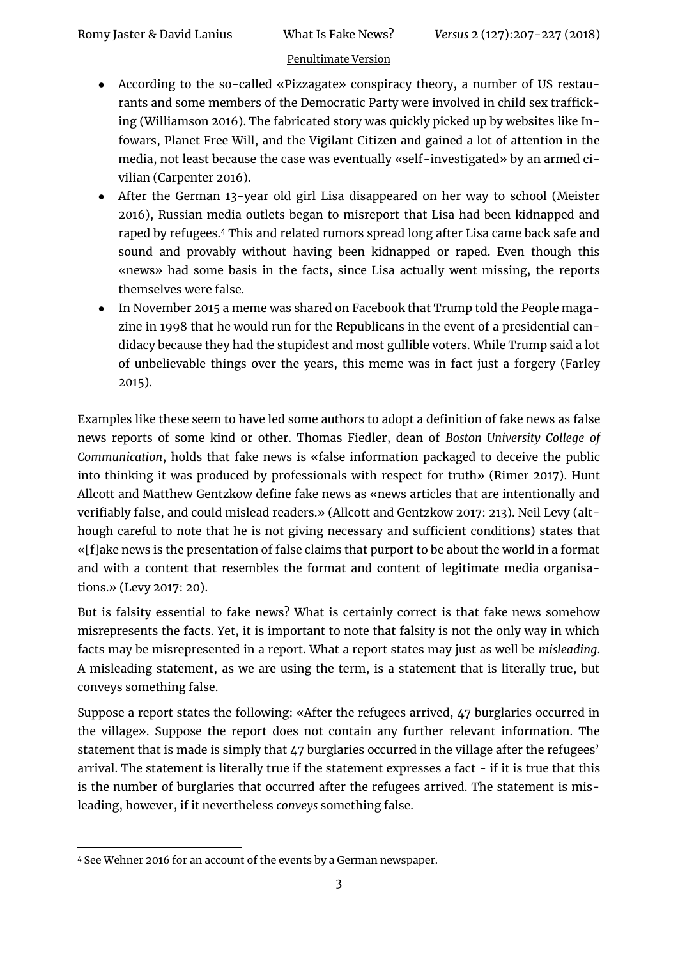- According to the so-called «Pizzagate» conspiracy theory, a number of US restaurants and some members of the Democratic Party were involved in child sex trafficking (Williamson 2016). The fabricated story was quickly picked up by websites like Infowars, Planet Free Will, and the Vigilant Citizen and gained a lot of attention in the media, not least because the case was eventually «self-investigated» by an armed civilian (Carpenter 2016).
- After the German 13-year old girl Lisa disappeared on her way to school (Meister 2016), Russian media outlets began to misreport that Lisa had been kidnapped and raped by refugees.<sup>4</sup> This and related rumors spread long after Lisa came back safe and sound and provably without having been kidnapped or raped. Even though this «news» had some basis in the facts, since Lisa actually went missing, the reports themselves were false.
- In November 2015 a meme was shared on Facebook that Trump told the People magazine in 1998 that he would run for the Republicans in the event of a presidential candidacy because they had the stupidest and most gullible voters. While Trump said a lot of unbelievable things over the years, this meme was in fact just a forgery (Farley 2015).

Examples like these seem to have led some authors to adopt a definition of fake news as false news reports of some kind or other. Thomas Fiedler, dean of *Boston University College of Communication*, holds that fake news is «false information packaged to deceive the public into thinking it was produced by professionals with respect for truth» (Rimer 2017). Hunt Allcott and Matthew Gentzkow define fake news as «news articles that are intentionally and verifiably false, and could mislead readers.» (Allcott and Gentzkow 2017: 213). Neil Levy (although careful to note that he is not giving necessary and sufficient conditions) states that «[f]ake news is the presentation of false claims that purport to be about the world in a format and with a content that resembles the format and content of legitimate media organisations.» (Levy 2017: 20).

But is falsity essential to fake news? What is certainly correct is that fake news somehow misrepresents the facts. Yet, it is important to note that falsity is not the only way in which facts may be misrepresented in a report. What a report states may just as well be *misleading*. A misleading statement, as we are using the term, is a statement that is literally true, but conveys something false.

Suppose a report states the following: «After the refugees arrived, 47 burglaries occurred in the village». Suppose the report does not contain any further relevant information. The statement that is made is simply that 47 burglaries occurred in the village after the refugees' arrival. The statement is literally true if the statement expresses a fact - if it is true that this is the number of burglaries that occurred after the refugees arrived. The statement is misleading, however, if it nevertheless *conveys* something false.

<sup>1</sup> <sup>4</sup> See Wehner 2016 for an account of the events by a German newspaper.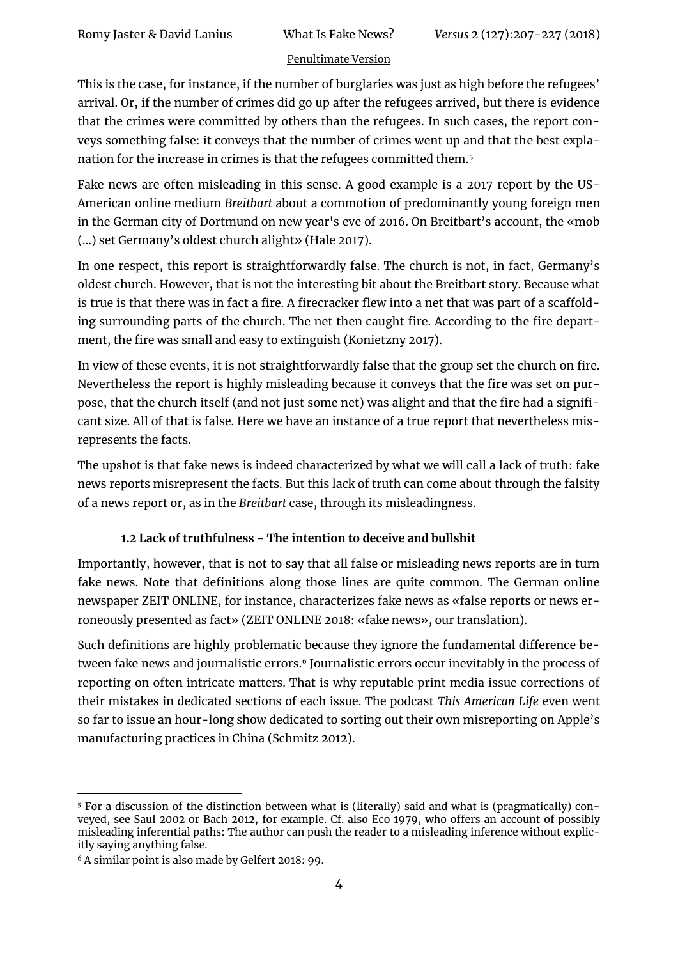This is the case, for instance, if the number of burglaries was just as high before the refugees' arrival. Or, if the number of crimes did go up after the refugees arrived, but there is evidence that the crimes were committed by others than the refugees. In such cases, the report conveys something false: it conveys that the number of crimes went up and that the best explanation for the increase in crimes is that the refugees committed them.<sup>5</sup>

Fake news are often misleading in this sense. A good example is a 2017 report by the US-American online medium *Breitbart* about a commotion of predominantly young foreign men in the German city of Dortmund on new year's eve of 2016. On Breitbart's account, the «mob (...) set Germany's oldest church alight» (Hale 2017).

In one respect, this report is straightforwardly false. The church is not, in fact, Germany's oldest church. However, that is not the interesting bit about the Breitbart story. Because what is true is that there was in fact a fire. A firecracker flew into a net that was part of a scaffolding surrounding parts of the church. The net then caught fire. According to the fire department, the fire was small and easy to extinguish (Konietzny 2017).

In view of these events, it is not straightforwardly false that the group set the church on fire. Nevertheless the report is highly misleading because it conveys that the fire was set on purpose, that the church itself (and not just some net) was alight and that the fire had a significant size. All of that is false. Here we have an instance of a true report that nevertheless misrepresents the facts.

The upshot is that fake news is indeed characterized by what we will call a lack of truth: fake news reports misrepresent the facts. But this lack of truth can come about through the falsity of a news report or, as in the *Breitbart* case, through its misleadingness.

## **1.2 Lack of truthfulness - The intention to deceive and bullshit**

Importantly, however, that is not to say that all false or misleading news reports are in turn fake news. Note that definitions along those lines are quite common. The German online newspaper ZEIT ONLINE, for instance, characterizes fake news as «false reports or news erroneously presented as fact» (ZEIT ONLINE 2018: «fake news», our translation).

Such definitions are highly problematic because they ignore the fundamental difference between fake news and journalistic errors.<sup>6</sup> Journalistic errors occur inevitably in the process of reporting on often intricate matters. That is why reputable print media issue corrections of their mistakes in dedicated sections of each issue. The podcast *This American Life* even went so far to issue an hour-long show dedicated to sorting out their own misreporting on Apple's manufacturing practices in China (Schmitz 2012).

<sup>1</sup> <sup>5</sup> For a discussion of the distinction between what is (literally) said and what is (pragmatically) conveyed, see Saul 2002 or Bach 2012, for example. Cf. also Eco 1979, who offers an account of possibly misleading inferential paths: The author can push the reader to a misleading inference without explicitly saying anything false.

<sup>6</sup> A similar point is also made by Gelfert 2018: 99.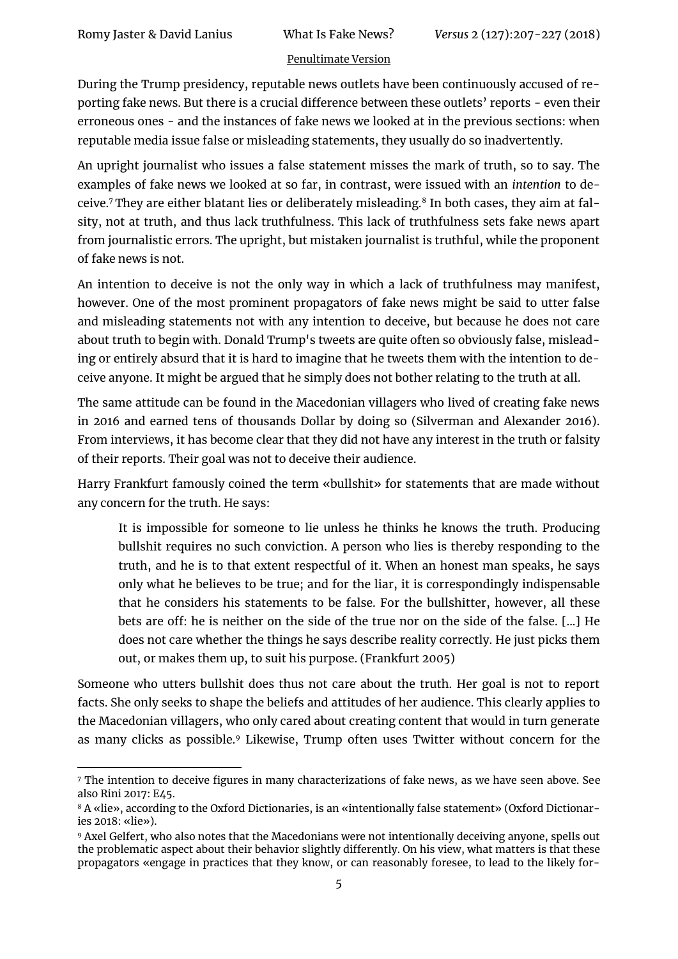$\overline{a}$ 

#### [Penultimate Version](https://philpapers.org/rec/JASWIF)

During the Trump presidency, reputable news outlets have been continuously accused of reporting fake news. But there is a crucial difference between these outlets' reports - even their erroneous ones - and the instances of fake news we looked at in the previous sections: when reputable media issue false or misleading statements, they usually do so inadvertently.

An upright journalist who issues a false statement misses the mark of truth, so to say. The examples of fake news we looked at so far, in contrast, were issued with an *intention* to deceive.<sup>7</sup> They are either blatant lies or deliberately misleading.<sup>8</sup> In both cases, they aim at falsity, not at truth, and thus lack truthfulness. This lack of truthfulness sets fake news apart from journalistic errors. The upright, but mistaken journalist is truthful, while the proponent of fake news is not.

An intention to deceive is not the only way in which a lack of truthfulness may manifest, however. One of the most prominent propagators of fake news might be said to utter false and misleading statements not with any intention to deceive, but because he does not care about truth to begin with. Donald Trump's tweets are quite often so obviously false, misleading or entirely absurd that it is hard to imagine that he tweets them with the intention to deceive anyone. It might be argued that he simply does not bother relating to the truth at all.

The same attitude can be found in the Macedonian villagers who lived of creating fake news in 2016 and earned tens of thousands Dollar by doing so (Silverman and Alexander 2016). From interviews, it has become clear that they did not have any interest in the truth or falsity of their reports. Their goal was not to deceive their audience.

Harry Frankfurt famously coined the term «bullshit» for statements that are made without any concern for the truth. He says:

It is impossible for someone to lie unless he thinks he knows the truth. Producing bullshit requires no such conviction. A person who lies is thereby responding to the truth, and he is to that extent respectful of it. When an honest man speaks, he says only what he believes to be true; and for the liar, it is correspondingly indispensable that he considers his statements to be false. For the bullshitter, however, all these bets are off: he is neither on the side of the true nor on the side of the false. [...] He does not care whether the things he says describe reality correctly. He just picks them out, or makes them up, to suit his purpose. (Frankfurt 2005)

Someone who utters bullshit does thus not care about the truth. Her goal is not to report facts. She only seeks to shape the beliefs and attitudes of her audience. This clearly applies to the Macedonian villagers, who only cared about creating content that would in turn generate as many clicks as possible.<sup>9</sup> Likewise, Trump often uses Twitter without concern for the

<sup>7</sup> The intention to deceive figures in many characterizations of fake news, as we have seen above. See also Rini 2017: E45.

<sup>8</sup> A «lie», according to the Oxford Dictionaries, is an «intentionally false statement» (Oxford Dictionaries 2018: «lie»).

<sup>9</sup> Axel Gelfert, who also notes that the Macedonians were not intentionally deceiving anyone, spells out the problematic aspect about their behavior slightly differently. On his view, what matters is that these propagators «engage in practices that they know, or can reasonably foresee, to lead to the likely for-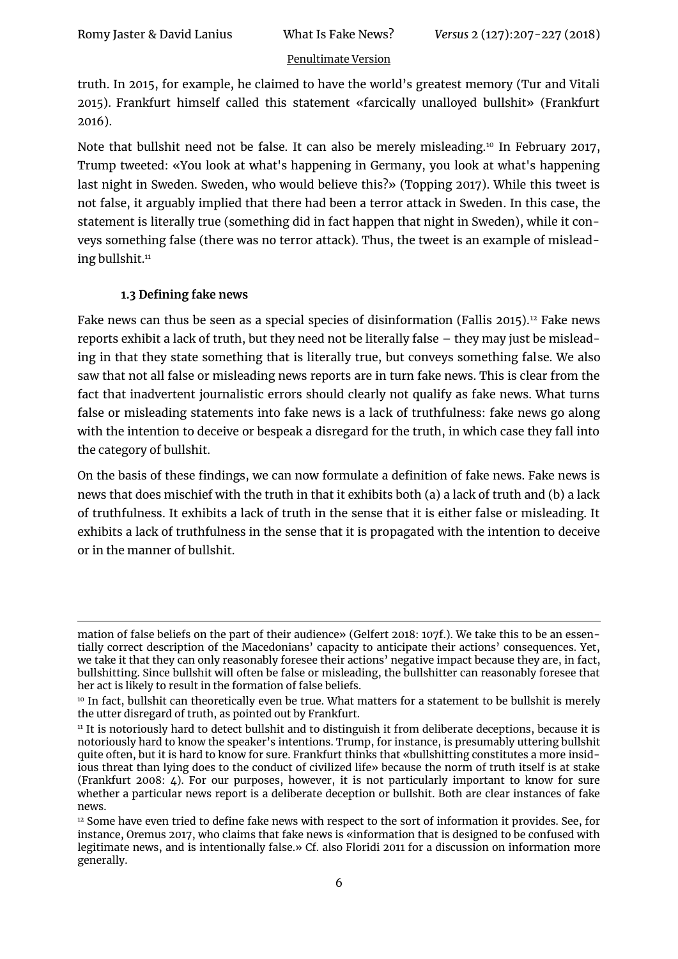truth. In 2015, for example, he claimed to have the world's greatest memory (Tur and Vitali 2015). Frankfurt himself called this statement «farcically unalloyed bullshit» (Frankfurt 2016).

Note that bullshit need not be false. It can also be merely misleading.<sup>10</sup> In February 2017, Trump tweeted: «You look at what's happening in Germany, you look at what's happening last night in Sweden. Sweden, who would believe this?» (Topping 2017). While this tweet is not false, it arguably implied that there had been a terror attack in Sweden. In this case, the statement is literally true (something did in fact happen that night in Sweden), while it conveys something false (there was no terror attack). Thus, the tweet is an example of misleading bullshit.<sup>11</sup>

## **1.3 Defining fake news**

1

Fake news can thus be seen as a special species of disinformation (Fallis 2015).<sup>12</sup> Fake news reports exhibit a lack of truth, but they need not be literally false – they may just be misleading in that they state something that is literally true, but conveys something false. We also saw that not all false or misleading news reports are in turn fake news. This is clear from the fact that inadvertent journalistic errors should clearly not qualify as fake news. What turns false or misleading statements into fake news is a lack of truthfulness: fake news go along with the intention to deceive or bespeak a disregard for the truth, in which case they fall into the category of bullshit.

On the basis of these findings, we can now formulate a definition of fake news. Fake news is news that does mischief with the truth in that it exhibits both (a) a lack of truth and (b) a lack of truthfulness. It exhibits a lack of truth in the sense that it is either false or misleading. It exhibits a lack of truthfulness in the sense that it is propagated with the intention to deceive or in the manner of bullshit.

mation of false beliefs on the part of their audience» (Gelfert 2018: 107f.). We take this to be an essentially correct description of the Macedonians' capacity to anticipate their actions' consequences. Yet, we take it that they can only reasonably foresee their actions' negative impact because they are, in fact, bullshitting. Since bullshit will often be false or misleading, the bullshitter can reasonably foresee that her act is likely to result in the formation of false beliefs.

<sup>&</sup>lt;sup>10</sup> In fact, bullshit can theoretically even be true. What matters for a statement to be bullshit is merely the utter disregard of truth, as pointed out by Frankfurt.

<sup>&</sup>lt;sup>11</sup> It is notoriously hard to detect bullshit and to distinguish it from deliberate deceptions, because it is notoriously hard to know the speaker's intentions. Trump, for instance, is presumably uttering bullshit quite often, but it is hard to know for sure. Frankfurt thinks that «bullshitting constitutes a more insidious threat than lying does to the conduct of civilized life» because the norm of truth itself is at stake (Frankfurt 2008: 4). For our purposes, however, it is not particularly important to know for sure whether a particular news report is a deliberate deception or bullshit. Both are clear instances of fake news.

<sup>12</sup> Some have even tried to define fake news with respect to the sort of information it provides. See, for instance, Oremus 2017, who claims that fake news is «information that is designed to be confused with legitimate news, and is intentionally false.» Cf. also Floridi 2011 for a discussion on information more generally.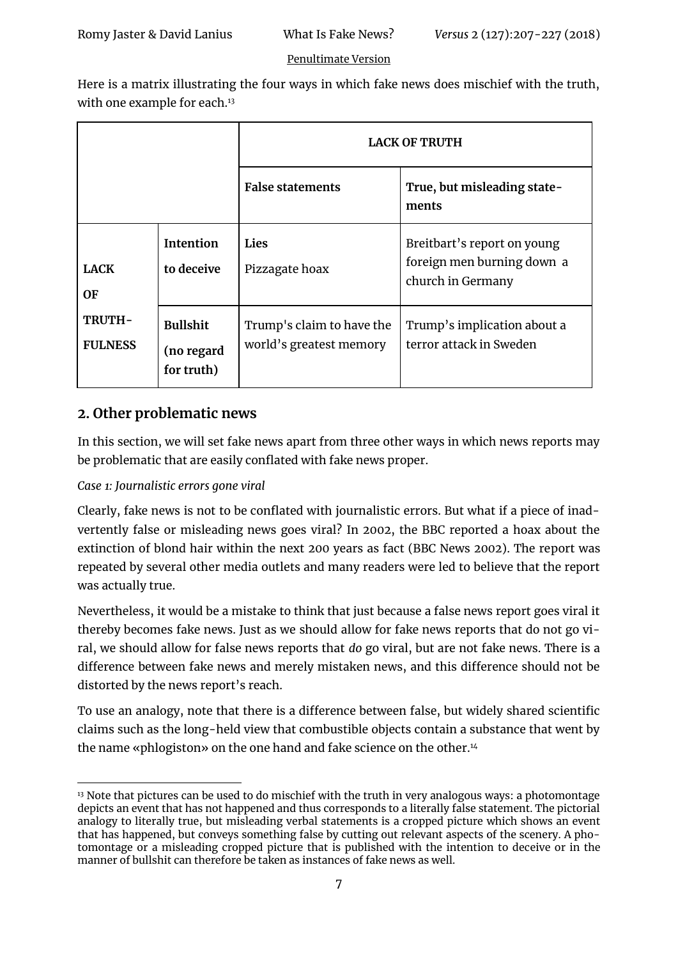Here is a matrix illustrating the four ways in which fake news does mischief with the truth, with one example for each.<sup>13</sup>

|                                                      |                                             | <b>LACK OF TRUTH</b>                                 |                                                                                |
|------------------------------------------------------|---------------------------------------------|------------------------------------------------------|--------------------------------------------------------------------------------|
|                                                      |                                             | <b>False statements</b>                              | True, but misleading state-<br>ments                                           |
| <b>LACK</b><br>0F<br><b>TRUTH-</b><br><b>FULNESS</b> | <b>Intention</b><br>to deceive              | Lies<br>Pizzagate hoax                               | Breitbart's report on young<br>foreign men burning down a<br>church in Germany |
|                                                      | <b>Bullshit</b><br>(no regard<br>for truth) | Trump's claim to have the<br>world's greatest memory | Trump's implication about a<br>terror attack in Sweden                         |

## **2. Other problematic news**

In this section, we will set fake news apart from three other ways in which news reports may be problematic that are easily conflated with fake news proper.

### *Case 1: Journalistic errors gone viral*

Clearly, fake news is not to be conflated with journalistic errors. But what if a piece of inadvertently false or misleading news goes viral? In 2002, the BBC reported a hoax about the extinction of blond hair within the next 200 years as fact (BBC News 2002). The report was repeated by several other media outlets and many readers were led to believe that the report was actually true.

Nevertheless, it would be a mistake to think that just because a false news report goes viral it thereby becomes fake news. Just as we should allow for fake news reports that do not go viral, we should allow for false news reports that *do* go viral, but are not fake news. There is a difference between fake news and merely mistaken news, and this difference should not be distorted by the news report's reach.

To use an analogy, note that there is a difference between false, but widely shared scientific claims such as the long-held view that combustible objects contain a substance that went by the name «phlogiston» on the one hand and fake science on the other.<sup>14</sup>

<sup>1</sup> <sup>13</sup> Note that pictures can be used to do mischief with the truth in very analogous ways: a photomontage depicts an event that has not happened and thus corresponds to a literally false statement. The pictorial analogy to literally true, but misleading verbal statements is a cropped picture which shows an event that has happened, but conveys something false by cutting out relevant aspects of the scenery. A photomontage or a misleading cropped picture that is published with the intention to deceive or in the manner of bullshit can therefore be taken as instances of fake news as well.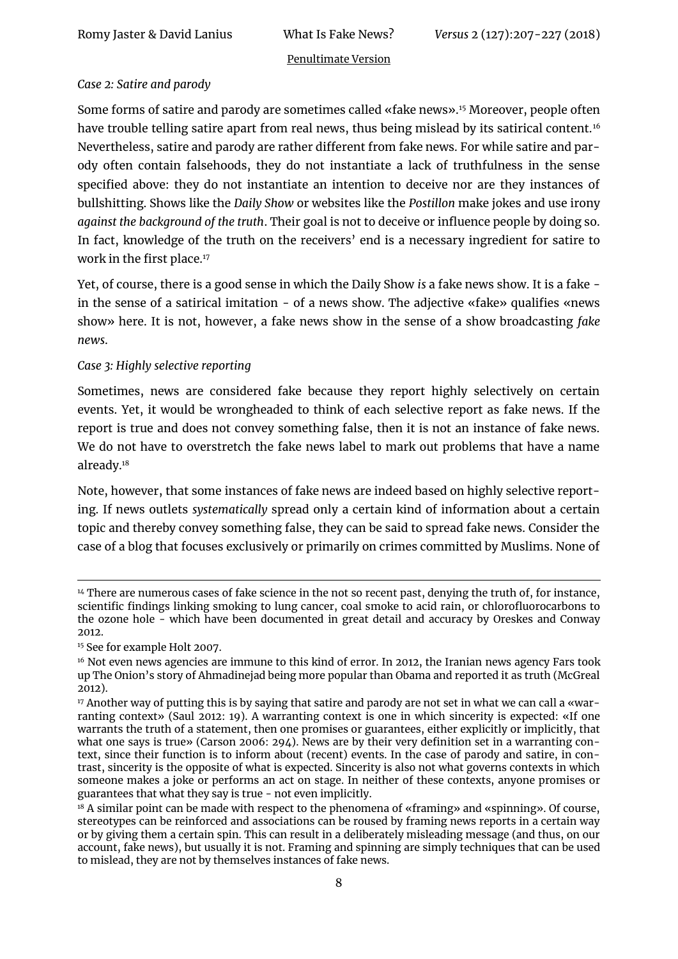#### *Case 2: Satire and parody*

Some forms of satire and parody are sometimes called «fake news».<sup>15</sup> Moreover, people often have trouble telling satire apart from real news, thus being mislead by its satirical content.<sup>16</sup> Nevertheless, satire and parody are rather different from fake news. For while satire and parody often contain falsehoods, they do not instantiate a lack of truthfulness in the sense specified above: they do not instantiate an intention to deceive nor are they instances of bullshitting. Shows like the *Daily Show* or websites like the *Postillon* make jokes and use irony *against the background of the truth*. Their goal is not to deceive or influence people by doing so. In fact, knowledge of the truth on the receivers' end is a necessary ingredient for satire to work in the first place.<sup>17</sup>

Yet, of course, there is a good sense in which the Daily Show *is* a fake news show. It is a fake in the sense of a satirical imitation - of a news show. The adjective «fake» qualifies «news show» here. It is not, however, a fake news show in the sense of a show broadcasting *fake news*.

#### *Case 3: Highly selective reporting*

Sometimes, news are considered fake because they report highly selectively on certain events. Yet, it would be wrongheaded to think of each selective report as fake news. If the report is true and does not convey something false, then it is not an instance of fake news. We do not have to overstretch the fake news label to mark out problems that have a name already.<sup>18</sup>

Note, however, that some instances of fake news are indeed based on highly selective reporting. If news outlets *systematically* spread only a certain kind of information about a certain topic and thereby convey something false, they can be said to spread fake news. Consider the case of a blog that focuses exclusively or primarily on crimes committed by Muslims. None of

<sup>1</sup> <sup>14</sup> There are numerous cases of fake science in the not so recent past, denying the truth of, for instance, scientific findings linking smoking to lung cancer, coal smoke to acid rain, or chlorofluorocarbons to the ozone hole - which have been documented in great detail and accuracy by Oreskes and Conway 2012.

<sup>15</sup> See for example Holt 2007.

<sup>&</sup>lt;sup>16</sup> Not even news agencies are immune to this kind of error. In 2012, the Iranian news agency Fars took up The Onion's story of Ahmadinejad being more popular than Obama and reported it as truth (McGreal 2012).

<sup>&</sup>lt;sup>17</sup> Another way of putting this is by saying that satire and parody are not set in what we can call a «warranting context» (Saul 2012: 19). A warranting context is one in which sincerity is expected: «If one warrants the truth of a statement, then one promises or guarantees, either explicitly or implicitly, that what one says is true» (Carson 2006: 294). News are by their very definition set in a warranting context, since their function is to inform about (recent) events. In the case of parody and satire, in contrast, sincerity is the opposite of what is expected. Sincerity is also not what governs contexts in which someone makes a joke or performs an act on stage. In neither of these contexts, anyone promises or guarantees that what they say is true - not even implicitly.

<sup>18</sup> A similar point can be made with respect to the phenomena of «framing» and «spinning». Of course, stereotypes can be reinforced and associations can be roused by framing news reports in a certain way or by giving them a certain spin. This can result in a deliberately misleading message (and thus, on our account, fake news), but usually it is not. Framing and spinning are simply techniques that can be used to mislead, they are not by themselves instances of fake news.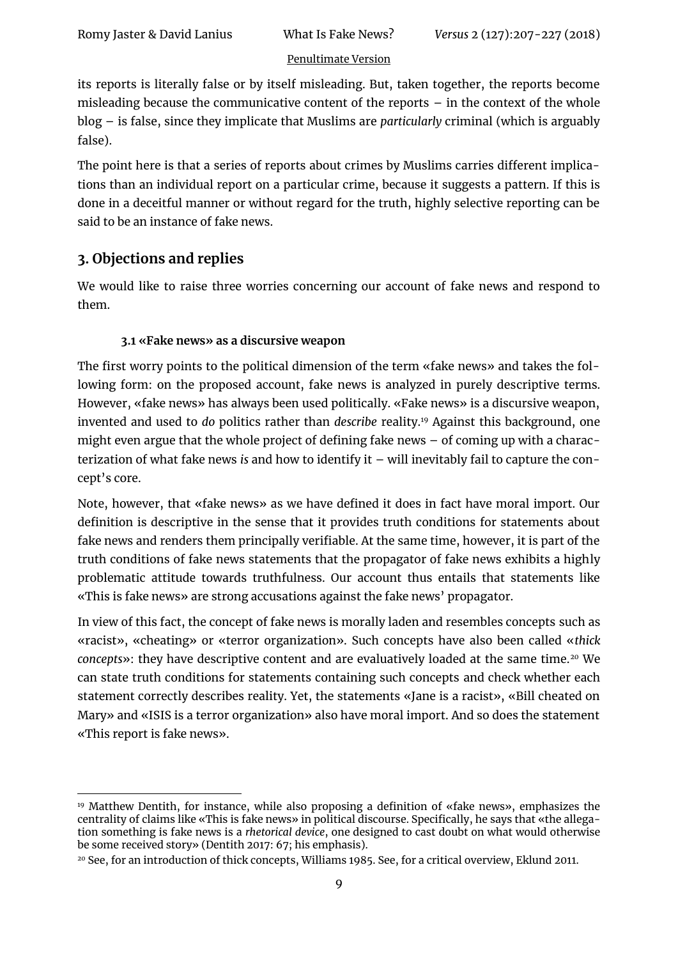its reports is literally false or by itself misleading. But, taken together, the reports become misleading because the communicative content of the reports  $-$  in the context of the whole blog – is false, since they implicate that Muslims are *particularly* criminal (which is arguably false).

The point here is that a series of reports about crimes by Muslims carries different implications than an individual report on a particular crime, because it suggests a pattern. If this is done in a deceitful manner or without regard for the truth, highly selective reporting can be said to be an instance of fake news.

## **3. Objections and replies**

We would like to raise three worries concerning our account of fake news and respond to them.

## **3.1 «Fake news» as a discursive weapon**

The first worry points to the political dimension of the term «fake news» and takes the following form: on the proposed account, fake news is analyzed in purely descriptive terms. However, «fake news» has always been used politically. «Fake news» is a discursive weapon, invented and used to *do* politics rather than *describe* reality.<sup>19</sup> Against this background, one might even argue that the whole project of defining fake news – of coming up with a characterization of what fake news *is* and how to identify it – will inevitably fail to capture the concept's core.

Note, however, that «fake news» as we have defined it does in fact have moral import. Our definition is descriptive in the sense that it provides truth conditions for statements about fake news and renders them principally verifiable. At the same time, however, it is part of the truth conditions of fake news statements that the propagator of fake news exhibits a highly problematic attitude towards truthfulness. Our account thus entails that statements like «This is fake news» are strong accusations against the fake news' propagator.

In view of this fact, the concept of fake news is morally laden and resembles concepts such as «racist», «cheating» or «terror organization». Such concepts have also been called «*thick*  concepts»: they have descriptive content and are evaluatively loaded at the same time.<sup>20</sup> We can state truth conditions for statements containing such concepts and check whether each statement correctly describes reality. Yet, the statements «Jane is a racist», «Bill cheated on Mary» and «ISIS is a terror organization» also have moral import. And so does the statement «This report is fake news».

<sup>1</sup> <sup>19</sup> Matthew Dentith, for instance, while also proposing a definition of «fake news», emphasizes the centrality of claims like «This is fake news» in political discourse. Specifically, he says that «the allegation something is fake news is a *rhetorical device*, one designed to cast doubt on what would otherwise be some received story» (Dentith 2017: 67; his emphasis).

<sup>20</sup> See, for an introduction of thick concepts, Williams 1985. See, for a critical overview, Eklund 2011.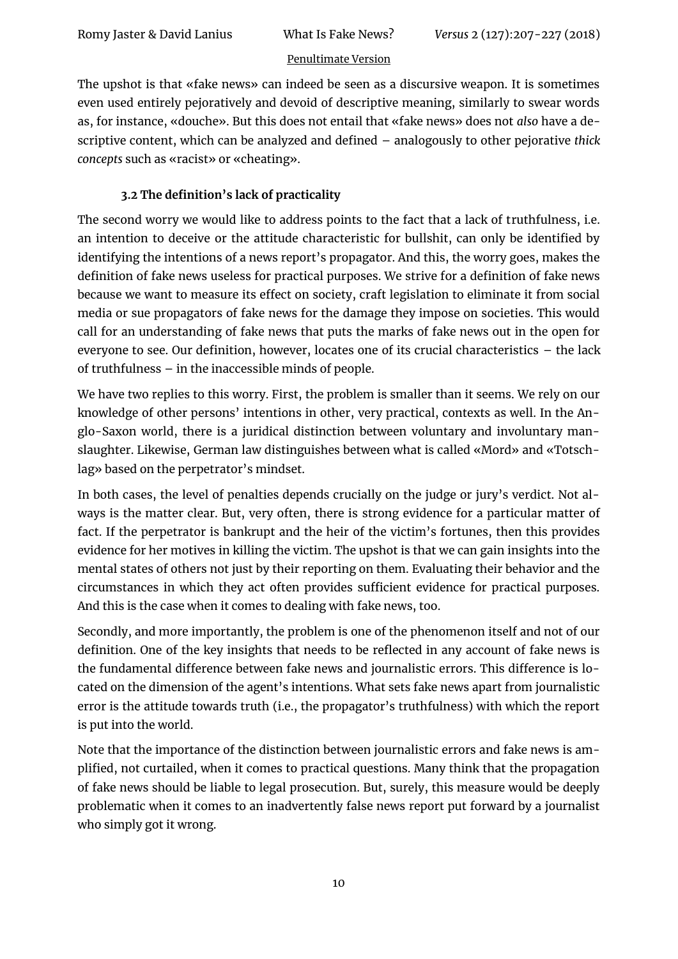The upshot is that «fake news» can indeed be seen as a discursive weapon. It is sometimes even used entirely pejoratively and devoid of descriptive meaning, similarly to swear words as, for instance, «douche». But this does not entail that «fake news» does not *also* have a descriptive content, which can be analyzed and defined – analogously to other pejorative *thick concepts* such as «racist» or «cheating».

## **3.2 The definition's lack of practicality**

The second worry we would like to address points to the fact that a lack of truthfulness, i.e. an intention to deceive or the attitude characteristic for bullshit, can only be identified by identifying the intentions of a news report's propagator. And this, the worry goes, makes the definition of fake news useless for practical purposes. We strive for a definition of fake news because we want to measure its effect on society, craft legislation to eliminate it from social media or sue propagators of fake news for the damage they impose on societies. This would call for an understanding of fake news that puts the marks of fake news out in the open for everyone to see. Our definition, however, locates one of its crucial characteristics – the lack of truthfulness – in the inaccessible minds of people.

We have two replies to this worry. First, the problem is smaller than it seems. We rely on our knowledge of other persons' intentions in other, very practical, contexts as well. In the Anglo-Saxon world, there is a juridical distinction between voluntary and involuntary manslaughter. Likewise, German law distinguishes between what is called «Mord» and «Totschlag» based on the perpetrator's mindset.

In both cases, the level of penalties depends crucially on the judge or jury's verdict. Not always is the matter clear. But, very often, there is strong evidence for a particular matter of fact. If the perpetrator is bankrupt and the heir of the victim's fortunes, then this provides evidence for her motives in killing the victim. The upshot is that we can gain insights into the mental states of others not just by their reporting on them. Evaluating their behavior and the circumstances in which they act often provides sufficient evidence for practical purposes. And this is the case when it comes to dealing with fake news, too.

Secondly, and more importantly, the problem is one of the phenomenon itself and not of our definition. One of the key insights that needs to be reflected in any account of fake news is the fundamental difference between fake news and journalistic errors. This difference is located on the dimension of the agent's intentions. What sets fake news apart from journalistic error is the attitude towards truth (i.e., the propagator's truthfulness) with which the report is put into the world.

Note that the importance of the distinction between journalistic errors and fake news is amplified, not curtailed, when it comes to practical questions. Many think that the propagation of fake news should be liable to legal prosecution. But, surely, this measure would be deeply problematic when it comes to an inadvertently false news report put forward by a journalist who simply got it wrong.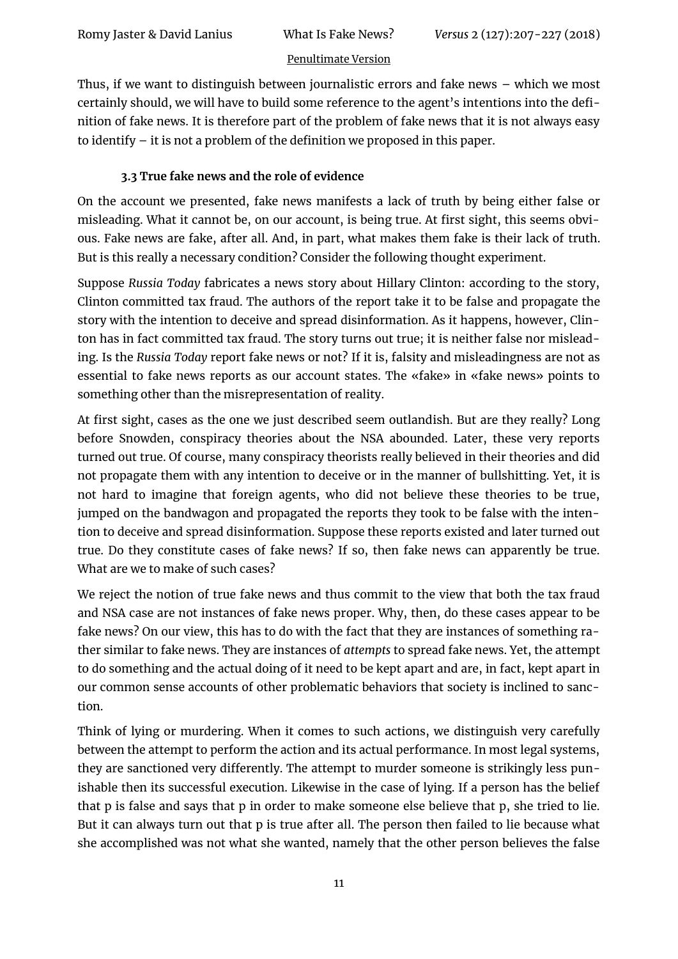Thus, if we want to distinguish between journalistic errors and fake news – which we most certainly should, we will have to build some reference to the agent's intentions into the definition of fake news. It is therefore part of the problem of fake news that it is not always easy to identify – it is not a problem of the definition we proposed in this paper.

## **3.3 True fake news and the role of evidence**

On the account we presented, fake news manifests a lack of truth by being either false or misleading. What it cannot be, on our account, is being true. At first sight, this seems obvious. Fake news are fake, after all. And, in part, what makes them fake is their lack of truth. But is this really a necessary condition? Consider the following thought experiment.

Suppose *Russia Today* fabricates a news story about Hillary Clinton: according to the story, Clinton committed tax fraud. The authors of the report take it to be false and propagate the story with the intention to deceive and spread disinformation. As it happens, however, Clinton has in fact committed tax fraud. The story turns out true; it is neither false nor misleading. Is the *Russia Today* report fake news or not? If it is, falsity and misleadingness are not as essential to fake news reports as our account states. The «fake» in «fake news» points to something other than the misrepresentation of reality.

At first sight, cases as the one we just described seem outlandish. But are they really? Long before Snowden, conspiracy theories about the NSA abounded. Later, these very reports turned out true. Of course, many conspiracy theorists really believed in their theories and did not propagate them with any intention to deceive or in the manner of bullshitting. Yet, it is not hard to imagine that foreign agents, who did not believe these theories to be true, jumped on the bandwagon and propagated the reports they took to be false with the intention to deceive and spread disinformation. Suppose these reports existed and later turned out true. Do they constitute cases of fake news? If so, then fake news can apparently be true. What are we to make of such cases?

We reject the notion of true fake news and thus commit to the view that both the tax fraud and NSA case are not instances of fake news proper. Why, then, do these cases appear to be fake news? On our view, this has to do with the fact that they are instances of something rather similar to fake news. They are instances of *attempts* to spread fake news. Yet, the attempt to do something and the actual doing of it need to be kept apart and are, in fact, kept apart in our common sense accounts of other problematic behaviors that society is inclined to sanction.

Think of lying or murdering. When it comes to such actions, we distinguish very carefully between the attempt to perform the action and its actual performance. In most legal systems, they are sanctioned very differently. The attempt to murder someone is strikingly less punishable then its successful execution. Likewise in the case of lying. If a person has the belief that p is false and says that p in order to make someone else believe that p, she tried to lie. But it can always turn out that p is true after all. The person then failed to lie because what she accomplished was not what she wanted, namely that the other person believes the false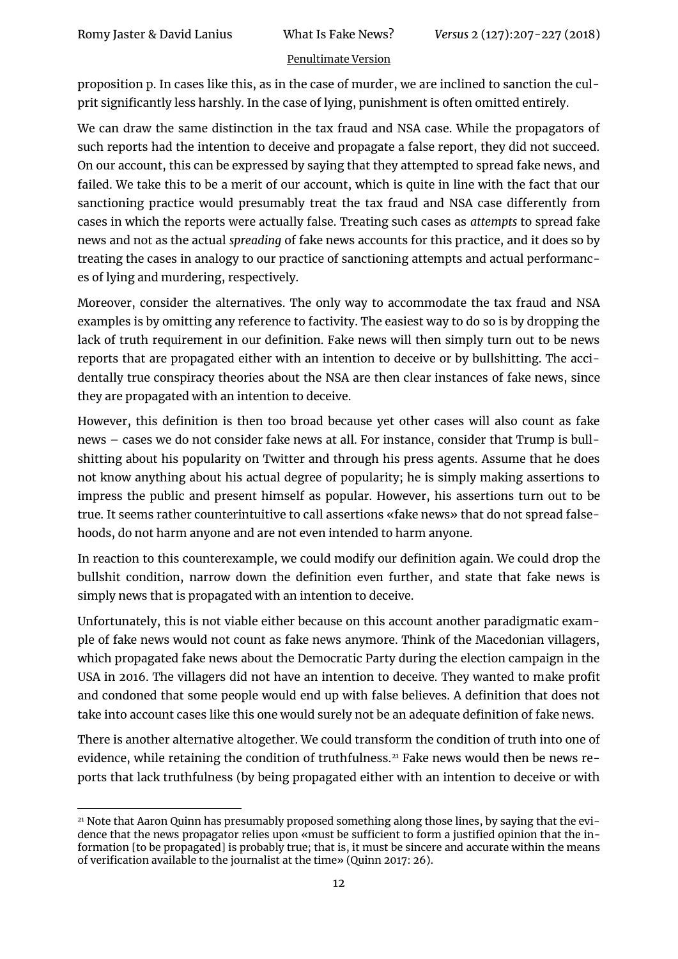proposition p. In cases like this, as in the case of murder, we are inclined to sanction the culprit significantly less harshly. In the case of lying, punishment is often omitted entirely.

We can draw the same distinction in the tax fraud and NSA case. While the propagators of such reports had the intention to deceive and propagate a false report, they did not succeed. On our account, this can be expressed by saying that they attempted to spread fake news, and failed. We take this to be a merit of our account, which is quite in line with the fact that our sanctioning practice would presumably treat the tax fraud and NSA case differently from cases in which the reports were actually false. Treating such cases as *attempts* to spread fake news and not as the actual *spreading* of fake news accounts for this practice, and it does so by treating the cases in analogy to our practice of sanctioning attempts and actual performances of lying and murdering, respectively.

Moreover, consider the alternatives. The only way to accommodate the tax fraud and NSA examples is by omitting any reference to factivity. The easiest way to do so is by dropping the lack of truth requirement in our definition. Fake news will then simply turn out to be news reports that are propagated either with an intention to deceive or by bullshitting. The accidentally true conspiracy theories about the NSA are then clear instances of fake news, since they are propagated with an intention to deceive.

However, this definition is then too broad because yet other cases will also count as fake news – cases we do not consider fake news at all. For instance, consider that Trump is bullshitting about his popularity on Twitter and through his press agents. Assume that he does not know anything about his actual degree of popularity; he is simply making assertions to impress the public and present himself as popular. However, his assertions turn out to be true. It seems rather counterintuitive to call assertions «fake news» that do not spread falsehoods, do not harm anyone and are not even intended to harm anyone.

In reaction to this counterexample, we could modify our definition again. We could drop the bullshit condition, narrow down the definition even further, and state that fake news is simply news that is propagated with an intention to deceive.

Unfortunately, this is not viable either because on this account another paradigmatic example of fake news would not count as fake news anymore. Think of the Macedonian villagers, which propagated fake news about the Democratic Party during the election campaign in the USA in 2016. The villagers did not have an intention to deceive. They wanted to make profit and condoned that some people would end up with false believes. A definition that does not take into account cases like this one would surely not be an adequate definition of fake news.

There is another alternative altogether. We could transform the condition of truth into one of evidence, while retaining the condition of truthfulness.<sup>21</sup> Fake news would then be news reports that lack truthfulness (by being propagated either with an intention to deceive or with

j <sup>21</sup> Note that Aaron Quinn has presumably proposed something along those lines, by saying that the evidence that the news propagator relies upon «must be sufficient to form a justified opinion that the information [to be propagated] is probably true; that is, it must be sincere and accurate within the means of verification available to the journalist at the time» (Quinn 2017: 26).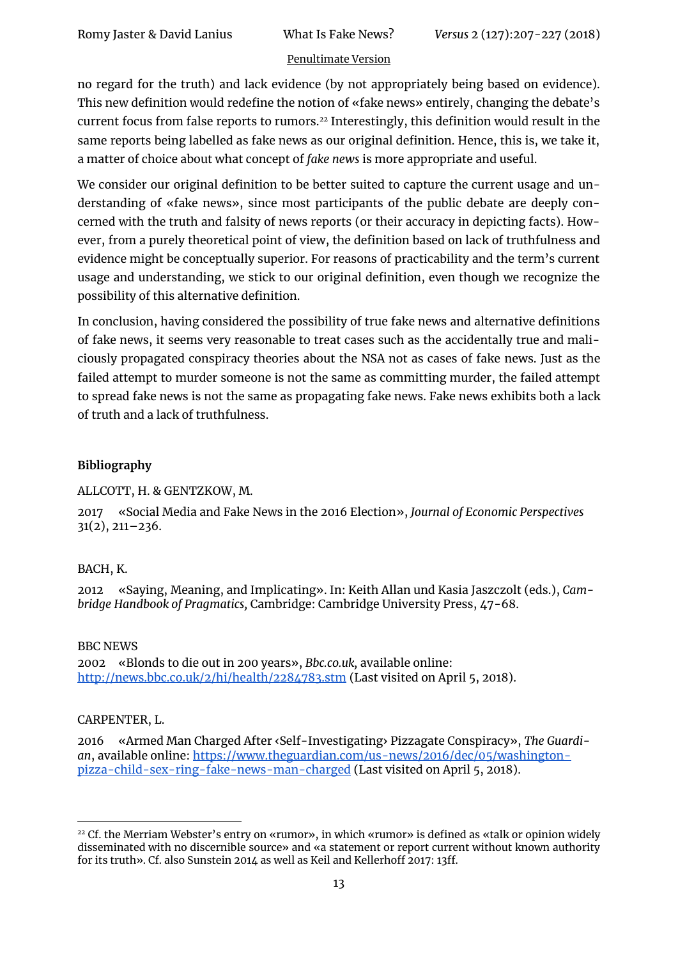no regard for the truth) and lack evidence (by not appropriately being based on evidence). This new definition would redefine the notion of «fake news» entirely, changing the debate's current focus from false reports to rumors.<sup>22</sup> Interestingly, this definition would result in the same reports being labelled as fake news as our original definition. Hence, this is, we take it, a matter of choice about what concept of *fake news* is more appropriate and useful.

We consider our original definition to be better suited to capture the current usage and understanding of «fake news», since most participants of the public debate are deeply concerned with the truth and falsity of news reports (or their accuracy in depicting facts). However, from a purely theoretical point of view, the definition based on lack of truthfulness and evidence might be conceptually superior. For reasons of practicability and the term's current usage and understanding, we stick to our original definition, even though we recognize the possibility of this alternative definition.

In conclusion, having considered the possibility of true fake news and alternative definitions of fake news, it seems very reasonable to treat cases such as the accidentally true and maliciously propagated conspiracy theories about the NSA not as cases of fake news. Just as the failed attempt to murder someone is not the same as committing murder, the failed attempt to spread fake news is not the same as propagating fake news. Fake news exhibits both a lack of truth and a lack of truthfulness.

#### **Bibliography**

ALLCOTT, H. & GENTZKOW, M.

2017 «Social Media and Fake News in the 2016 Election», *Journal of Economic Perspectives* 31(2), 211–236.

#### BACH, K.

2012 «Saying, Meaning, and Implicating». In: Keith Allan und Kasia Jaszczolt (eds.), *Cambridge Handbook of Pragmatics,* Cambridge: Cambridge University Press, 47-68.

#### BBC NEWS

2002 «Blonds to die out in 200 years», *Bbc.co.uk,* available online: <http://news.bbc.co.uk/2/hi/health/2284783.stm> (Last visited on April 5, 2018).

#### CARPENTER, L.

1

2016 «Armed Man Charged After ‹Self-Investigating› Pizzagate Conspiracy», *The Guardian*, available online: [https://www.theguardian.com/us-news/2016/dec/05/washington](https://www.theguardian.com/us-news/2016/dec/05/washington-pizza-child-sex-ring-fake-news-man-charged)[pizza-child-sex-ring-fake-news-man-charged](https://www.theguardian.com/us-news/2016/dec/05/washington-pizza-child-sex-ring-fake-news-man-charged) (Last visited on April 5, 2018).

<sup>22</sup> Cf. the Merriam Webster's entry on «rumor», in which «rumor» is defined as «talk or opinion widely disseminated with no discernible source» and «a statement or report current without known authority for its truth». Cf. also Sunstein 2014 as well as Keil and Kellerhoff 2017: 13ff.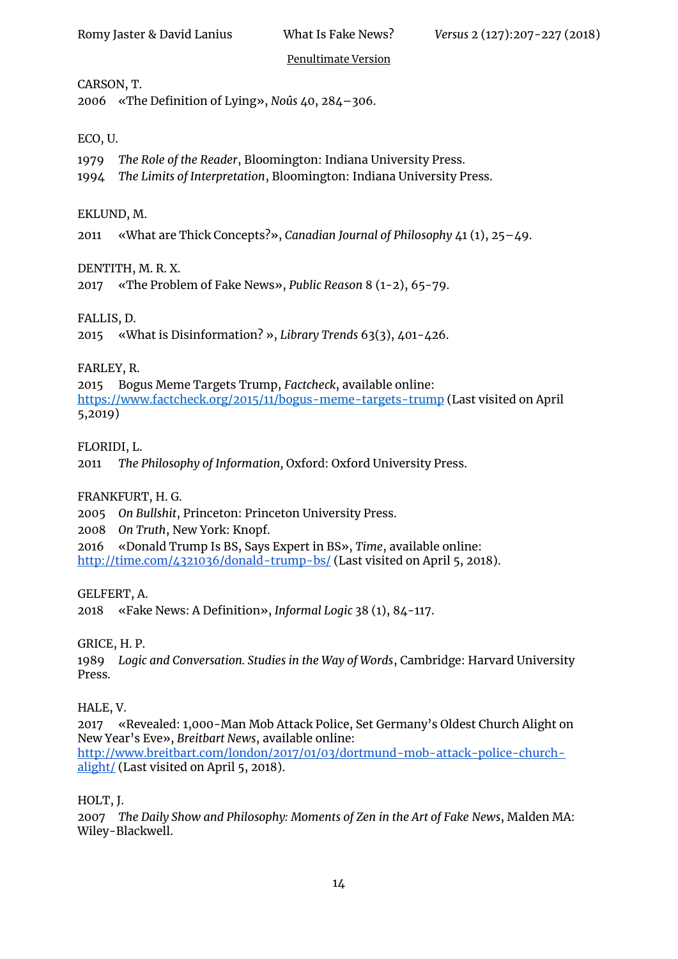#### CARSON, T.

2006 «The Definition of Lying», *Noûs* 40, 284–306.

#### ECO, U.

- 1979 *The Role of the Reader*, Bloomington: Indiana University Press.
- 1994 *The Limits of Interpretation*, Bloomington: Indiana University Press.

#### EKLUND, M.

2011 «What are Thick Concepts?», *Canadian Journal of Philosophy* 41 (1), 25–49.

#### DENTITH, M. R. X.

2017 «The Problem of Fake News», *Public Reason* 8 (1-2), 65-79.

#### FALLIS, D.

2015 «What is Disinformation? », *Library Trends* 63(3), 401-426.

#### FARLEY, R.

2015 Bogus Meme Targets Trump, *Factcheck*, available online: <https://www.factcheck.org/2015/11/bogus-meme-targets-trump> (Last visited on April 5,2019)

#### FLORIDI, L.

2011 *The Philosophy of Information,* Oxford: Oxford University Press.

#### FRANKFURT, H. G.

2005 *On Bullshit*, Princeton: Princeton University Press.

2008 *On Truth*, New York: Knopf.

2016 «Donald Trump Is BS, Says Expert in BS», *Time*, available online: <http://time.com/4321036/donald-trump-bs/> (Last visited on April 5, 2018).

#### GELFERT, A.

2018 «Fake News: A Definition», *Informal Logic* 38 (1), 84-117.

#### GRICE, H. P.

1989 *Logic and Conversation. Studies in the Way of Words*, Cambridge: Harvard University Press.

#### HALE, V.

2017 «Revealed: 1,000-Man Mob Attack Police, Set Germany's Oldest Church Alight on New Year's Eve», *Breitbart News*, available online: [http://www.breitbart.com/london/2017/01/03/dortmund-mob-attack-police-church](http://www.breitbart.com/london/2017/01/03/dortmund-mob-attack-police-church-alight/)[alight/](http://www.breitbart.com/london/2017/01/03/dortmund-mob-attack-police-church-alight/) (Last visited on April 5, 2018).

#### HOLT, J.

2007 *The Daily Show and Philosophy: Moments of Zen in the Art of Fake News*, Malden MA: Wiley-Blackwell.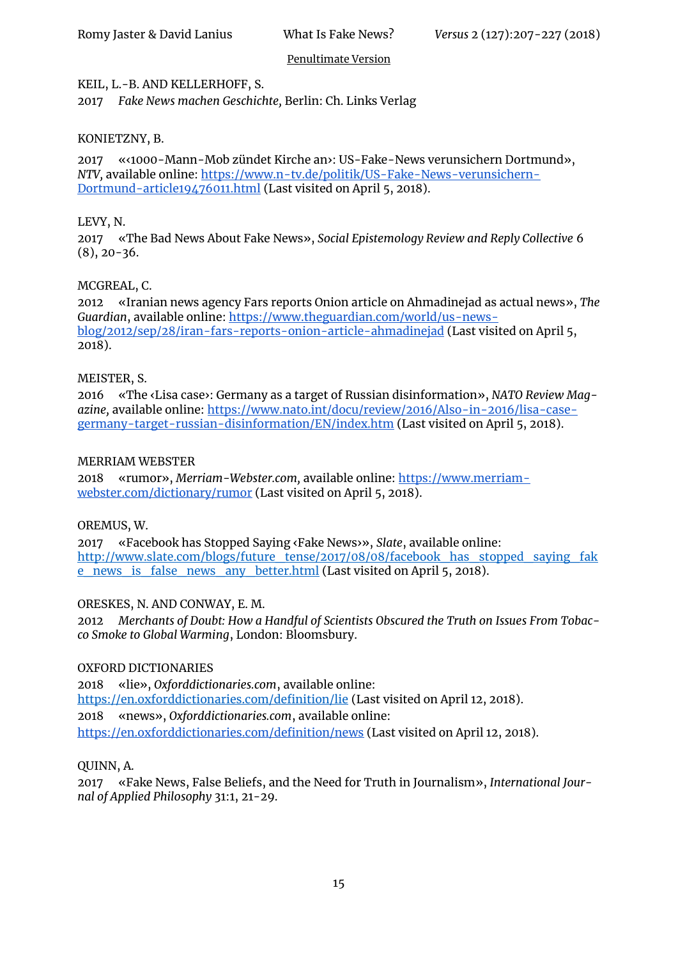#### KEIL, L.-B. AND KELLERHOFF, S.

2017 *Fake News machen Geschichte,* Berlin: Ch. Links Verlag

#### KONIETZNY, B.

2017 «‹1000-Mann-Mob zündet Kirche an›: US-Fake-News verunsichern Dortmund», *NTV,* available online[: https://www.n-tv.de/politik/US-Fake-News-verunsichern-](https://www.n-tv.de/politik/US-Fake-News-verunsichern-Dortmund-article19476011.html)[Dortmund-article19476011.html](https://www.n-tv.de/politik/US-Fake-News-verunsichern-Dortmund-article19476011.html) (Last visited on April 5, 2018).

#### LEVY, N.

2017 «The Bad News About Fake News», *Social Epistemology Review and Reply Collective* 6  $(8)$ , 20-36.

#### MCGREAL, C.

2012 «Iranian news agency Fars reports Onion article on Ahmadinejad as actual news», *The Guardian*, available online: [https://www.theguardian.com/world/us-news](https://www.theguardian.com/world/us-news-blog/2012/sep/28/iran-fars-reports-onion-article-ahmadinejad)[blog/2012/sep/28/iran-fars-reports-onion-article-ahmadinejad](https://www.theguardian.com/world/us-news-blog/2012/sep/28/iran-fars-reports-onion-article-ahmadinejad) (Last visited on April 5, 2018).

#### MEISTER, S.

2016 «The ‹Lisa case›: Germany as a target of Russian disinformation», *NATO Review Magazine,* available online: [https://www.nato.int/docu/review/2016/Also-in-2016/lisa-case](https://www.nato.int/docu/review/2016/Also-in-2016/lisa-case-germany-target-russian-disinformation/EN/index.htm)[germany-target-russian-disinformation/EN/index.htm](https://www.nato.int/docu/review/2016/Also-in-2016/lisa-case-germany-target-russian-disinformation/EN/index.htm) (Last visited on April 5, 2018).

#### MERRIAM WEBSTER

2018 «rumor», *Merriam-Webster.com,* available online: [https://www.merriam](https://www.merriam-webster.com/dictionary/rumor)[webster.com/dictionary/rumor](https://www.merriam-webster.com/dictionary/rumor) (Last visited on April 5, 2018).

#### OREMUS, W.

2017 «Facebook has Stopped Saying ‹Fake News›», *Slate*, available online: [http://www.slate.com/blogs/future\\_tense/2017/08/08/facebook\\_has\\_stopped\\_saying\\_fak](http://www.slate.com/blogs/future_tense/2017/08/08/facebook_has_stopped_saying_fake_news_is_false_news_any_better.html) [e\\_news\\_is\\_false\\_news\\_any\\_better.html](http://www.slate.com/blogs/future_tense/2017/08/08/facebook_has_stopped_saying_fake_news_is_false_news_any_better.html) (Last visited on April 5, 2018).

#### ORESKES, N. AND CONWAY, E. M.

2012 *Merchants of Doubt: How a Handful of Scientists Obscured the Truth on Issues From Tobacco Smoke to Global Warming*, London: Bloomsbury.

#### OXFORD DICTIONARIES

2018 «lie», *Oxforddictionaries.com*, available online: <https://en.oxforddictionaries.com/definition/lie> (Last visited on April 12, 2018). 2018 «news», *Oxforddictionaries.com*, available online: <https://en.oxforddictionaries.com/definition/news> (Last visited on April 12, 2018).

#### QUINN, A.

2017 «Fake News, False Beliefs, and the Need for Truth in Journalism», *International Journal of Applied Philosophy* 31:1, 21-29.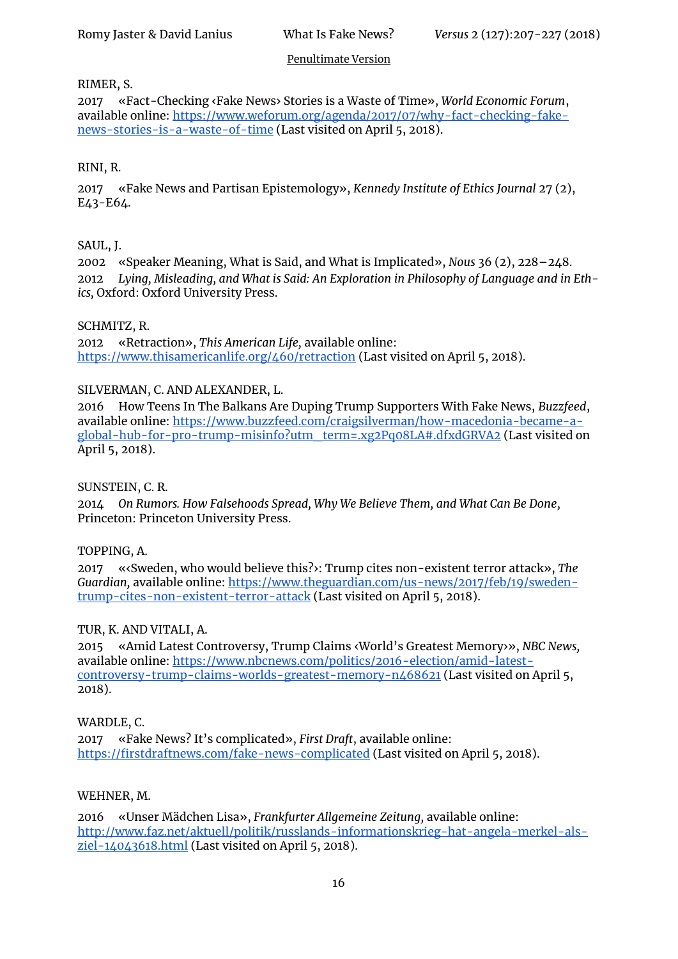#### RIMER, S.

2017 «Fact-Checking ‹Fake News› Stories is a Waste of Time», *World Economic Forum*, available online[: https://www.weforum.org/agenda/2017/07/why-fact-checking-fake](https://www.weforum.org/agenda/2017/07/why-fact-checking-fake-news-stories-is-a-waste-of-time)[news-stories-is-a-waste-of-time](https://www.weforum.org/agenda/2017/07/why-fact-checking-fake-news-stories-is-a-waste-of-time) (Last visited on April 5, 2018).

#### RINI, R.

2017 «Fake News and Partisan Epistemology», *Kennedy Institute of Ethics Journal* 27 (2), E43-E64.

#### SAUL, J.

2002 «Speaker Meaning, What is Said, and What is Implicated», *Nous* 36 (2), 228–248. 2012 *Lying, Misleading, and What is Said: An Exploration in Philosophy of Language and in Ethics,* Oxford: Oxford University Press.

#### SCHMITZ, R.

2012 «Retraction», *This American Life,* available online: <https://www.thisamericanlife.org/460/retraction> (Last visited on April 5, 2018).

#### SILVERMAN, C. AND ALEXANDER, L.

2016 How Teens In The Balkans Are Duping Trump Supporters With Fake News, *Buzzfeed*, available online[: https://www.buzzfeed.com/craigsilverman/how-macedonia-became-a](https://www.buzzfeed.com/craigsilverman/how-macedonia-became-a-global-hub-for-pro-trump-misinfo?utm_term=.xg2Pq08LA#.dfxdGRVA2)[global-hub-for-pro-trump-misinfo?utm\\_term=.xg2Pq08LA#.dfxdGRVA2](https://www.buzzfeed.com/craigsilverman/how-macedonia-became-a-global-hub-for-pro-trump-misinfo?utm_term=.xg2Pq08LA#.dfxdGRVA2) (Last visited on April 5, 2018).

#### SUNSTEIN, C. R.

2014 *On Rumors. How Falsehoods Spread, Why We Believe Them, and What Can Be Done,* Princeton: Princeton University Press.

#### TOPPING, A.

2017 «‹Sweden, who would believe this?›: Trump cites non-existent terror attack», *The Guardian,* available online[: https://www.theguardian.com/us-news/2017/feb/19/sweden](https://www.theguardian.com/us-news/2017/feb/19/sweden-trump-cites-non-existent-terror-attack)[trump-cites-non-existent-terror-attack](https://www.theguardian.com/us-news/2017/feb/19/sweden-trump-cites-non-existent-terror-attack) (Last visited on April 5, 2018).

#### TUR, K. AND VITALI, A.

2015 «Amid Latest Controversy, Trump Claims ‹World's Greatest Memory›», *NBC News,* available online[: https://www.nbcnews.com/politics/2016-election/amid-latest](https://www.nbcnews.com/politics/2016-election/amid-latest-controversy-trump-claims-worlds-greatest-memory-n468621)[controversy-trump-claims-worlds-greatest-memory-n468621](https://www.nbcnews.com/politics/2016-election/amid-latest-controversy-trump-claims-worlds-greatest-memory-n468621) (Last visited on April 5, 2018).

#### WARDLE, C.

2017 «Fake News? It's complicated», *First Draft*, available online[:](https://firstdraftnews.com/fake-news-complicated) <https://firstdraftnews.com/fake-news-complicated> (Last visited on April 5, 2018).

#### WEHNER, M.

2016 «Unser Mädchen Lisa», *Frankfurter Allgemeine Zeitung,* available online: [http://www.faz.net/aktuell/politik/russlands-informationskrieg-hat-angela-merkel-als-](http://www.faz.net/aktuell/politik/russlands-informationskrieg-hat-angela-merkel-als-ziel-14043618.html) $\overline{\text{ziel}}$ -14043618.html (Last visited on April 5, 2018).